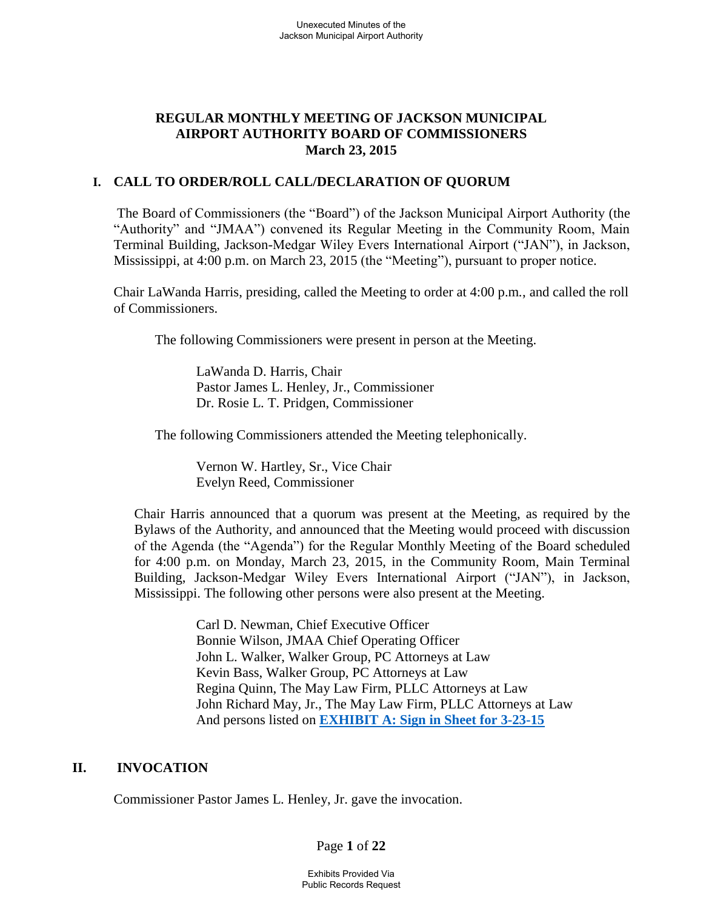## **REGULAR MONTHLY MEETING OF JACKSON MUNICIPAL AIRPORT AUTHORITY BOARD OF COMMISSIONERS March 23, 2015**

### **I. CALL TO ORDER/ROLL CALL/DECLARATION OF QUORUM**

 The Board of Commissioners (the "Board") of the Jackson Municipal Airport Authority (the "Authority" and "JMAA") convened its Regular Meeting in the Community Room, Main Terminal Building, Jackson-Medgar Wiley Evers International Airport ("JAN"), in Jackson, Mississippi, at 4:00 p.m. on March 23, 2015 (the "Meeting"), pursuant to proper notice.

Chair LaWanda Harris, presiding, called the Meeting to order at 4:00 p.m*.*, and called the roll of Commissioners.

The following Commissioners were present in person at the Meeting.

 LaWanda D. Harris, Chair Pastor James L. Henley, Jr., Commissioner Dr. Rosie L. T. Pridgen, Commissioner

The following Commissioners attended the Meeting telephonically.

Vernon W. Hartley, Sr., Vice Chair Evelyn Reed, Commissioner

Chair Harris announced that a quorum was present at the Meeting, as required by the Bylaws of the Authority, and announced that the Meeting would proceed with discussion of the Agenda (the "Agenda") for the Regular Monthly Meeting of the Board scheduled for 4:00 p.m. on Monday, March 23, 2015, in the Community Room, Main Terminal Building, Jackson-Medgar Wiley Evers International Airport ("JAN"), in Jackson, Mississippi. The following other persons were also present at the Meeting.

> Carl D. Newman, Chief Executive Officer Bonnie Wilson, JMAA Chief Operating Officer John L. Walker, Walker Group, PC Attorneys at Law Kevin Bass, Walker Group, PC Attorneys at Law Regina Quinn, The May Law Firm, PLLC Attorneys at Law John Richard May, Jr., The May Law Firm, PLLC Attorneys at Law And persons listed on **[EXHIBIT A: Sign in Sheet for 3-23-15](file:///C:/Users/kevin/Desktop/Sign-In%20Sheet%20Regular%20Board%20Meeting%20February%2023%202015.pdf)**

#### **II. INVOCATION**

Commissioner Pastor James L. Henley, Jr. gave the invocation.

Page **1** of **22**

Exhibits Provided Via Public Records Request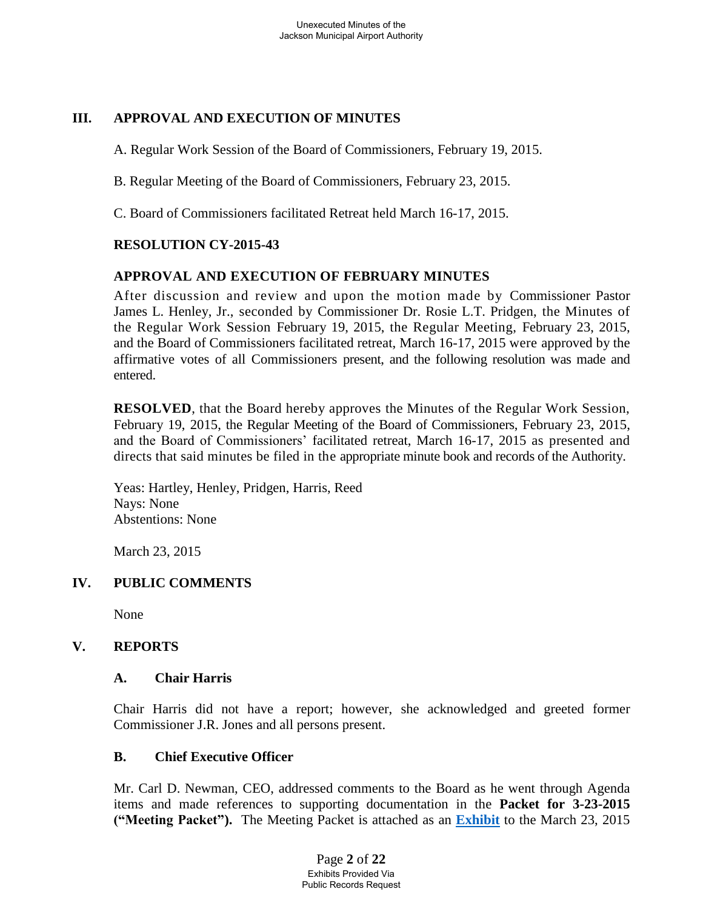## **III. APPROVAL AND EXECUTION OF MINUTES**

A. Regular Work Session of the Board of Commissioners, February 19, 2015.

B. Regular Meeting of the Board of Commissioners, February 23, 2015.

C. Board of Commissioners facilitated Retreat held March 16-17, 2015.

# **RESOLUTION CY-2015-43**

# **APPROVAL AND EXECUTION OF FEBRUARY MINUTES**

After discussion and review and upon the motion made by Commissioner Pastor James L. Henley, Jr., seconded by Commissioner Dr. Rosie L.T. Pridgen, the Minutes of the Regular Work Session February 19, 2015, the Regular Meeting, February 23, 2015, and the Board of Commissioners facilitated retreat, March 16-17, 2015 were approved by the affirmative votes of all Commissioners present, and the following resolution was made and entered.

**RESOLVED**, that the Board hereby approves the Minutes of the Regular Work Session, February 19, 2015, the Regular Meeting of the Board of Commissioners, February 23, 2015, and the Board of Commissioners' facilitated retreat, March 16-17, 2015 as presented and directs that said minutes be filed in the appropriate minute book and records of the Authority.

Yeas: Hartley, Henley, Pridgen, Harris, Reed Nays: None Abstentions: None

March 23, 2015

# **IV. PUBLIC COMMENTS**

None

## **V. REPORTS**

## **A. Chair Harris**

Chair Harris did not have a report; however, she acknowledged and greeted former Commissioner J.R. Jones and all persons present.

## **B. Chief Executive Officer**

Mr. Carl D. Newman, CEO, addressed comments to the Board as he went through Agenda items and made references to supporting documentation in the **Packet for 3-23-2015 ("Meeting Packet").** The Meeting Packet is attached as an **[Exhibit](file:///C:/Users/kevin/Desktop/Packet.pdf)** to the March 23, 2015

> Page **2** of **22** Exhibits Provided Via Public Records Request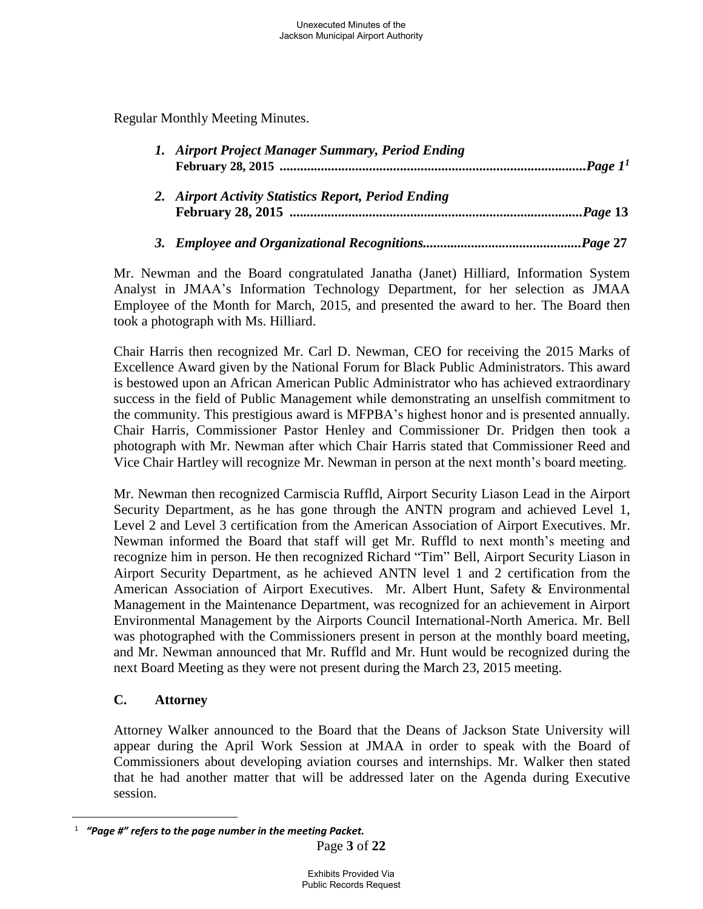Regular Monthly Meeting Minutes.

| 1. Airport Project Manager Summary, Period Ending    |  |
|------------------------------------------------------|--|
| 2. Airport Activity Statistics Report, Period Ending |  |

## *3. Employee and Organizational Recognitions..............................................Page* **27**

Mr. Newman and the Board congratulated Janatha (Janet) Hilliard, Information System Analyst in JMAA's Information Technology Department, for her selection as JMAA Employee of the Month for March, 2015, and presented the award to her. The Board then took a photograph with Ms. Hilliard.

Chair Harris then recognized Mr. Carl D. Newman, CEO for receiving the 2015 Marks of Excellence Award given by the National Forum for Black Public Administrators. This award is bestowed upon an African American Public Administrator who has achieved extraordinary success in the field of Public Management while demonstrating an unselfish commitment to the community. This prestigious award is MFPBA's highest honor and is presented annually. Chair Harris, Commissioner Pastor Henley and Commissioner Dr. Pridgen then took a photograph with Mr. Newman after which Chair Harris stated that Commissioner Reed and Vice Chair Hartley will recognize Mr. Newman in person at the next month's board meeting.

Mr. Newman then recognized Carmiscia Ruffld, Airport Security Liason Lead in the Airport Security Department, as he has gone through the ANTN program and achieved Level 1, Level 2 and Level 3 certification from the American Association of Airport Executives. Mr. Newman informed the Board that staff will get Mr. Ruffld to next month's meeting and recognize him in person. He then recognized Richard "Tim" Bell, Airport Security Liason in Airport Security Department, as he achieved ANTN level 1 and 2 certification from the American Association of Airport Executives. Mr. Albert Hunt, Safety & Environmental Management in the Maintenance Department, was recognized for an achievement in Airport Environmental Management by the Airports Council International-North America. Mr. Bell was photographed with the Commissioners present in person at the monthly board meeting, and Mr. Newman announced that Mr. Ruffld and Mr. Hunt would be recognized during the next Board Meeting as they were not present during the March 23, 2015 meeting.

# **C. Attorney**

 $\overline{a}$ 

Attorney Walker announced to the Board that the Deans of Jackson State University will appear during the April Work Session at JMAA in order to speak with the Board of Commissioners about developing aviation courses and internships. Mr. Walker then stated that he had another matter that will be addressed later on the Agenda during Executive session.

<sup>1</sup>  *"Page #" refers to the page number in the meeting Packet.*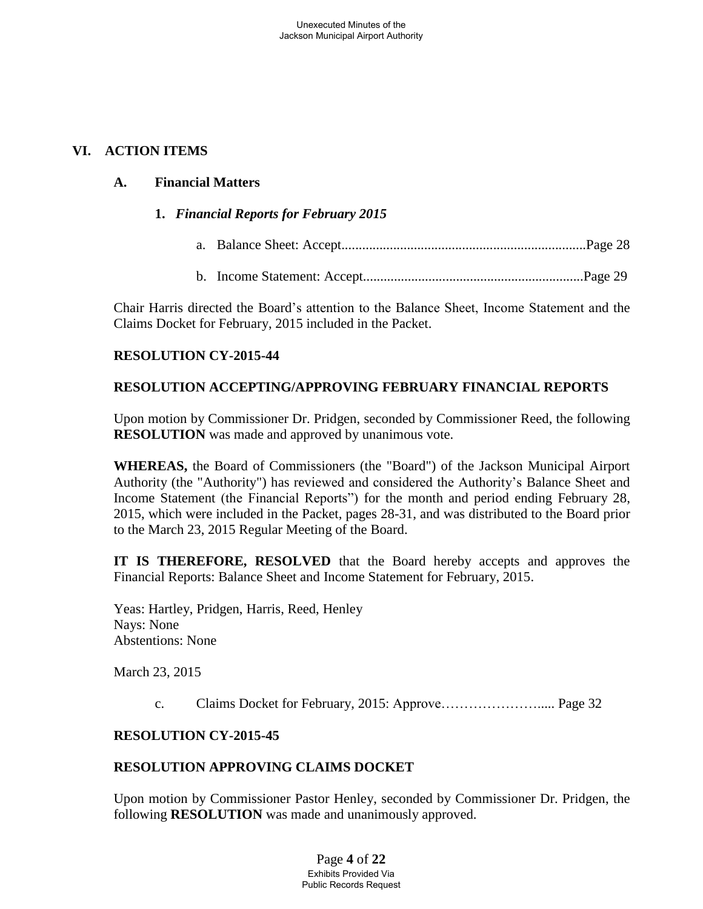## **VI. ACTION ITEMS**

## **A. Financial Matters**

## **1.** *Financial Reports for February 2015*

- a. Balance Sheet: Accept.......................................................................Page 28
- b. Income Statement: Accept................................................................Page 29

Chair Harris directed the Board's attention to the Balance Sheet, Income Statement and the Claims Docket for February, 2015 included in the Packet.

## **RESOLUTION CY-2015-44**

## **RESOLUTION ACCEPTING/APPROVING FEBRUARY FINANCIAL REPORTS**

Upon motion by Commissioner Dr. Pridgen, seconded by Commissioner Reed, the following **RESOLUTION** was made and approved by unanimous vote.

**WHEREAS,** the Board of Commissioners (the "Board") of the Jackson Municipal Airport Authority (the "Authority") has reviewed and considered the Authority's Balance Sheet and Income Statement (the Financial Reports") for the month and period ending February 28, 2015, which were included in the Packet, pages 28-31, and was distributed to the Board prior to the March 23, 2015 Regular Meeting of the Board.

**IT IS THEREFORE, RESOLVED** that the Board hereby accepts and approves the Financial Reports: Balance Sheet and Income Statement for February, 2015.

Yeas: Hartley, Pridgen, Harris, Reed, Henley Nays: None Abstentions: None

March 23, 2015

c. Claims Docket for February, 2015: Approve…………………..... Page 32

## **RESOLUTION CY-2015-45**

## **RESOLUTION APPROVING CLAIMS DOCKET**

Upon motion by Commissioner Pastor Henley, seconded by Commissioner Dr. Pridgen, the following **RESOLUTION** was made and unanimously approved.

> Page **4** of **22** Exhibits Provided Via Public Records Request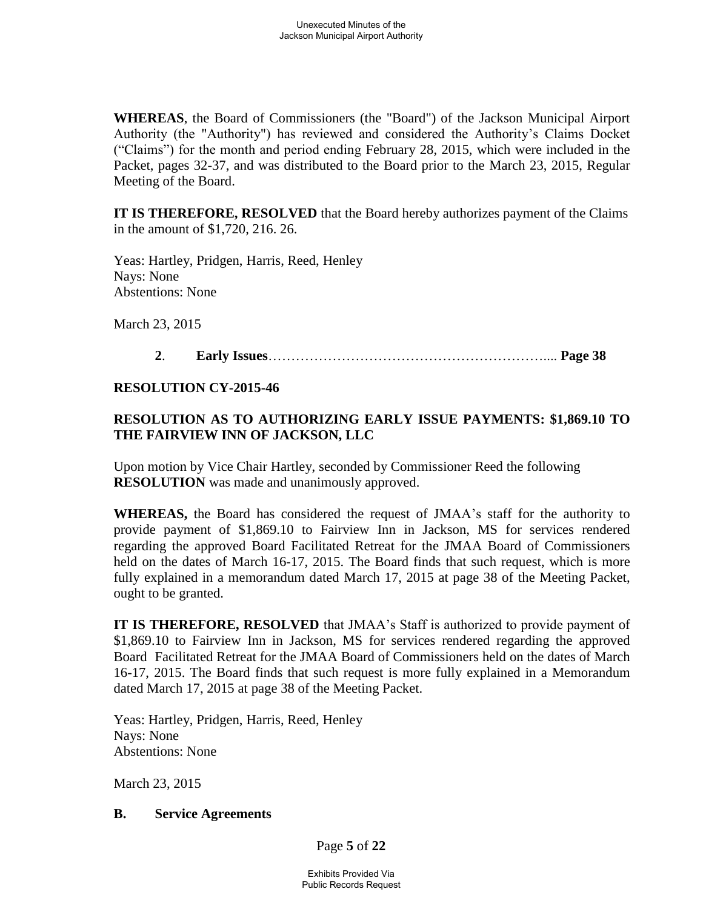**WHEREAS**, the Board of Commissioners (the "Board") of the Jackson Municipal Airport Authority (the "Authority") has reviewed and considered the Authority's Claims Docket ("Claims") for the month and period ending February 28, 2015, which were included in the Packet, pages 32-37, and was distributed to the Board prior to the March 23, 2015, Regular Meeting of the Board.

**IT IS THEREFORE, RESOLVED** that the Board hereby authorizes payment of the Claims in the amount of \$1,720, 216. 26.

 Yeas: Hartley, Pridgen, Harris, Reed, Henley Nays: None Abstentions: None

March 23, 2015

## **2**. **Early Issues**…………………………………………………….... **Page 38**

### **RESOLUTION CY-2015-46**

# **RESOLUTION AS TO AUTHORIZING EARLY ISSUE PAYMENTS: \$1,869.10 TO THE FAIRVIEW INN OF JACKSON, LLC**

Upon motion by Vice Chair Hartley, seconded by Commissioner Reed the following **RESOLUTION** was made and unanimously approved.

**WHEREAS,** the Board has considered the request of JMAA's staff for the authority to provide payment of \$1,869.10 to Fairview Inn in Jackson, MS for services rendered regarding the approved Board Facilitated Retreat for the JMAA Board of Commissioners held on the dates of March 16-17, 2015. The Board finds that such request, which is more fully explained in a memorandum dated March 17, 2015 at page 38 of the Meeting Packet, ought to be granted.

**IT IS THEREFORE, RESOLVED** that JMAA's Staff is authorized to provide payment of \$1,869.10 to Fairview Inn in Jackson, MS for services rendered regarding the approved Board Facilitated Retreat for the JMAA Board of Commissioners held on the dates of March 16-17, 2015. The Board finds that such request is more fully explained in a Memorandum dated March 17, 2015 at page 38 of the Meeting Packet.

 Yeas: Hartley, Pridgen, Harris, Reed, Henley Nays: None Abstentions: None

March 23, 2015

#### **B. Service Agreements**

Page **5** of **22**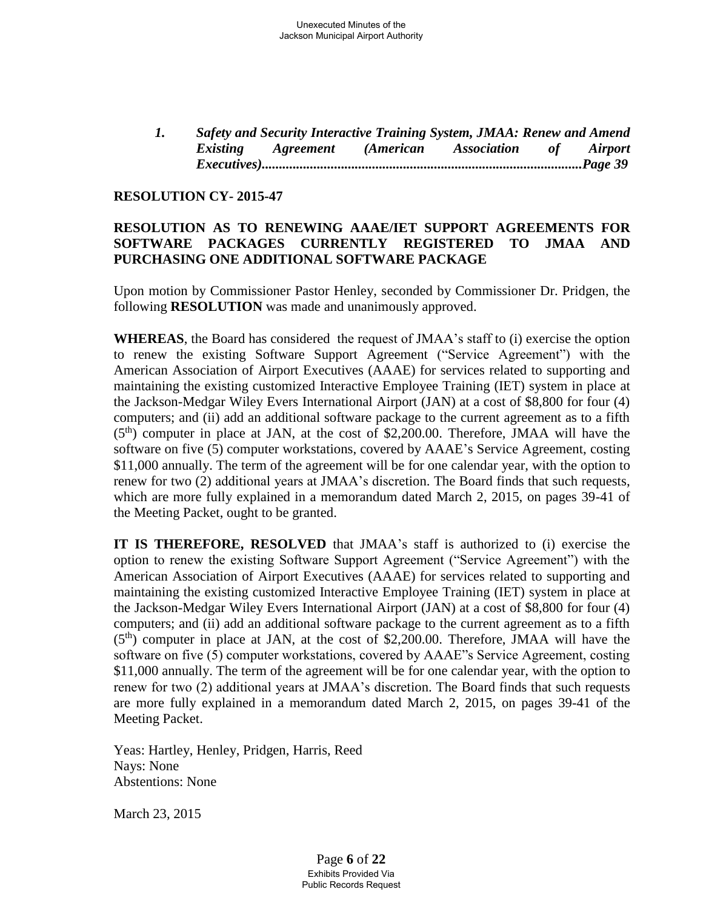*1. Safety and Security Interactive Training System, JMAA: Renew and Amend Existing Agreement (American Association of Airport Executives).............................................................................................Page 39* 

### **RESOLUTION CY- 2015-47**

### **RESOLUTION AS TO RENEWING AAAE/IET SUPPORT AGREEMENTS FOR SOFTWARE PACKAGES CURRENTLY REGISTERED TO JMAA AND PURCHASING ONE ADDITIONAL SOFTWARE PACKAGE**

Upon motion by Commissioner Pastor Henley, seconded by Commissioner Dr. Pridgen, the following **RESOLUTION** was made and unanimously approved.

**WHEREAS**, the Board has considered the request of JMAA's staff to (i) exercise the option to renew the existing Software Support Agreement ("Service Agreement") with the American Association of Airport Executives (AAAE) for services related to supporting and maintaining the existing customized Interactive Employee Training (IET) system in place at the Jackson-Medgar Wiley Evers International Airport (JAN) at a cost of \$8,800 for four (4) computers; and (ii) add an additional software package to the current agreement as to a fifth (5<sup>th</sup>) computer in place at JAN, at the cost of \$2,200.00. Therefore, JMAA will have the software on five (5) computer workstations, covered by AAAE's Service Agreement, costing \$11,000 annually. The term of the agreement will be for one calendar year, with the option to renew for two (2) additional years at JMAA's discretion. The Board finds that such requests, which are more fully explained in a memorandum dated March 2, 2015, on pages 39-41 of the Meeting Packet, ought to be granted.

**IT IS THEREFORE, RESOLVED** that JMAA's staff is authorized to (i) exercise the option to renew the existing Software Support Agreement ("Service Agreement") with the American Association of Airport Executives (AAAE) for services related to supporting and maintaining the existing customized Interactive Employee Training (IET) system in place at the Jackson-Medgar Wiley Evers International Airport (JAN) at a cost of \$8,800 for four (4) computers; and (ii) add an additional software package to the current agreement as to a fifth  $(5<sup>th</sup>)$  computer in place at JAN, at the cost of \$2,200.00. Therefore, JMAA will have the software on five (5) computer workstations, covered by AAAE"s Service Agreement, costing \$11,000 annually. The term of the agreement will be for one calendar year, with the option to renew for two (2) additional years at JMAA's discretion. The Board finds that such requests are more fully explained in a memorandum dated March 2, 2015, on pages 39-41 of the Meeting Packet.

 Yeas: Hartley, Henley, Pridgen, Harris, Reed Nays: None Abstentions: None

March 23, 2015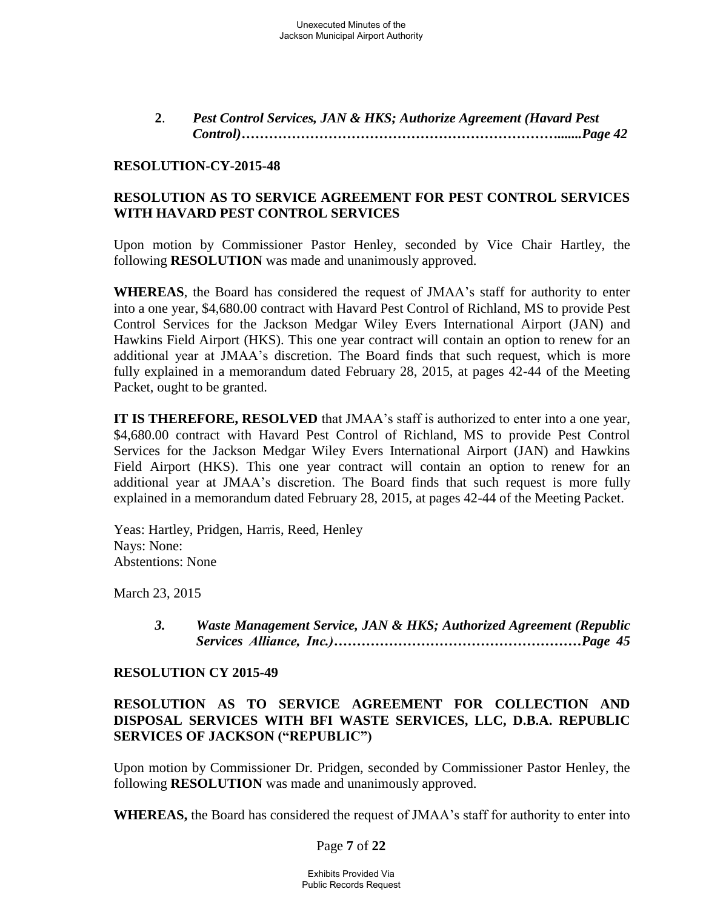**2**. *Pest Control Services, JAN & HKS; Authorize Agreement (Havard Pest Control)…………………………………………………………….......Page 42* 

### **RESOLUTION-CY-2015-48**

### **RESOLUTION AS TO SERVICE AGREEMENT FOR PEST CONTROL SERVICES WITH HAVARD PEST CONTROL SERVICES**

Upon motion by Commissioner Pastor Henley, seconded by Vice Chair Hartley, the following **RESOLUTION** was made and unanimously approved.

**WHEREAS**, the Board has considered the request of JMAA's staff for authority to enter into a one year, \$4,680.00 contract with Havard Pest Control of Richland, MS to provide Pest Control Services for the Jackson Medgar Wiley Evers International Airport (JAN) and Hawkins Field Airport (HKS). This one year contract will contain an option to renew for an additional year at JMAA's discretion. The Board finds that such request, which is more fully explained in a memorandum dated February 28, 2015, at pages 42-44 of the Meeting Packet, ought to be granted.

**IT IS THEREFORE, RESOLVED** that JMAA's staff is authorized to enter into a one year, \$4,680.00 contract with Havard Pest Control of Richland, MS to provide Pest Control Services for the Jackson Medgar Wiley Evers International Airport (JAN) and Hawkins Field Airport (HKS). This one year contract will contain an option to renew for an additional year at JMAA's discretion. The Board finds that such request is more fully explained in a memorandum dated February 28, 2015, at pages 42-44 of the Meeting Packet.

Yeas: Hartley, Pridgen, Harris, Reed, Henley Nays: None: Abstentions: None

March 23, 2015

*3. Waste Management Service, JAN & HKS; Authorized Agreement (Republic Services Alliance, Inc.)………………………………………………Page 45*

#### **RESOLUTION CY 2015-49**

### **RESOLUTION AS TO SERVICE AGREEMENT FOR COLLECTION AND DISPOSAL SERVICES WITH BFI WASTE SERVICES, LLC, D.B.A. REPUBLIC SERVICES OF JACKSON ("REPUBLIC")**

Upon motion by Commissioner Dr. Pridgen, seconded by Commissioner Pastor Henley, the following **RESOLUTION** was made and unanimously approved.

**WHEREAS,** the Board has considered the request of JMAA's staff for authority to enter into

Page **7** of **22**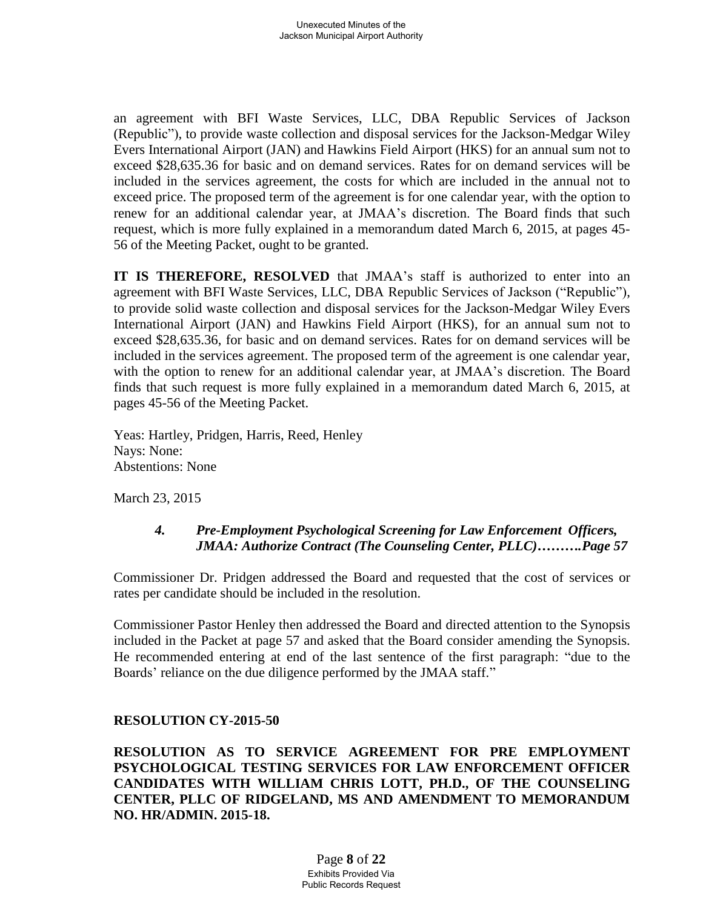an agreement with BFI Waste Services, LLC, DBA Republic Services of Jackson (Republic"), to provide waste collection and disposal services for the Jackson-Medgar Wiley Evers International Airport (JAN) and Hawkins Field Airport (HKS) for an annual sum not to exceed \$28,635.36 for basic and on demand services. Rates for on demand services will be included in the services agreement, the costs for which are included in the annual not to exceed price. The proposed term of the agreement is for one calendar year, with the option to renew for an additional calendar year, at JMAA's discretion. The Board finds that such request, which is more fully explained in a memorandum dated March 6, 2015, at pages 45- 56 of the Meeting Packet, ought to be granted.

**IT IS THEREFORE, RESOLVED** that JMAA's staff is authorized to enter into an agreement with BFI Waste Services, LLC, DBA Republic Services of Jackson ("Republic"), to provide solid waste collection and disposal services for the Jackson-Medgar Wiley Evers International Airport (JAN) and Hawkins Field Airport (HKS), for an annual sum not to exceed \$28,635.36, for basic and on demand services. Rates for on demand services will be included in the services agreement. The proposed term of the agreement is one calendar year, with the option to renew for an additional calendar year, at JMAA's discretion. The Board finds that such request is more fully explained in a memorandum dated March 6, 2015, at pages 45-56 of the Meeting Packet.

Yeas: Hartley, Pridgen, Harris, Reed, Henley Nays: None: Abstentions: None

March 23, 2015

## *4. Pre-Employment Psychological Screening for Law Enforcement Officers, JMAA: Authorize Contract (The Counseling Center, PLLC)……….Page 57*

Commissioner Dr. Pridgen addressed the Board and requested that the cost of services or rates per candidate should be included in the resolution.

Commissioner Pastor Henley then addressed the Board and directed attention to the Synopsis included in the Packet at page 57 and asked that the Board consider amending the Synopsis. He recommended entering at end of the last sentence of the first paragraph: "due to the Boards' reliance on the due diligence performed by the JMAA staff."

## **RESOLUTION CY-2015-50**

**RESOLUTION AS TO SERVICE AGREEMENT FOR PRE EMPLOYMENT PSYCHOLOGICAL TESTING SERVICES FOR LAW ENFORCEMENT OFFICER CANDIDATES WITH WILLIAM CHRIS LOTT, PH.D., OF THE COUNSELING CENTER, PLLC OF RIDGELAND, MS AND AMENDMENT TO MEMORANDUM NO. HR/ADMIN. 2015-18.**

> Page **8** of **22** Exhibits Provided Via Public Records Request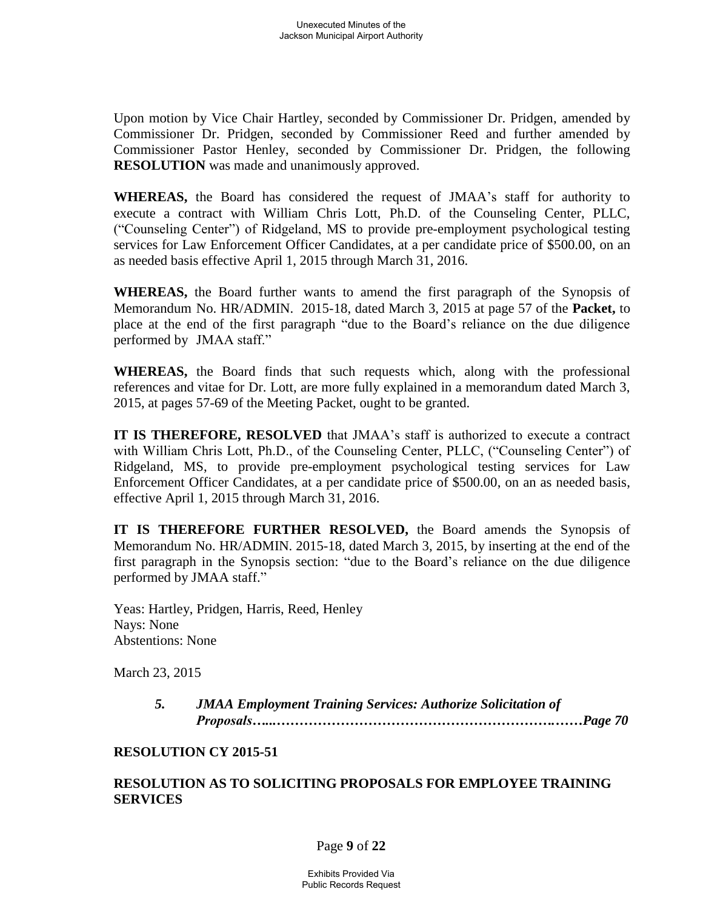Upon motion by Vice Chair Hartley, seconded by Commissioner Dr. Pridgen, amended by Commissioner Dr. Pridgen, seconded by Commissioner Reed and further amended by Commissioner Pastor Henley, seconded by Commissioner Dr. Pridgen, the following **RESOLUTION** was made and unanimously approved.

**WHEREAS,** the Board has considered the request of JMAA's staff for authority to execute a contract with William Chris Lott, Ph.D. of the Counseling Center, PLLC, ("Counseling Center") of Ridgeland, MS to provide pre-employment psychological testing services for Law Enforcement Officer Candidates, at a per candidate price of \$500.00, on an as needed basis effective April 1, 2015 through March 31, 2016.

**WHEREAS,** the Board further wants to amend the first paragraph of the Synopsis of Memorandum No. HR/ADMIN. 2015-18, dated March 3, 2015 at page 57 of the **Packet,** to place at the end of the first paragraph "due to the Board's reliance on the due diligence performed by JMAA staff."

**WHEREAS,** the Board finds that such requests which, along with the professional references and vitae for Dr. Lott, are more fully explained in a memorandum dated March 3, 2015, at pages 57-69 of the Meeting Packet, ought to be granted.

**IT IS THEREFORE, RESOLVED** that JMAA's staff is authorized to execute a contract with William Chris Lott, Ph.D., of the Counseling Center, PLLC, ("Counseling Center") of Ridgeland, MS, to provide pre-employment psychological testing services for Law Enforcement Officer Candidates, at a per candidate price of \$500.00, on an as needed basis, effective April 1, 2015 through March 31, 2016.

**IT IS THEREFORE FURTHER RESOLVED,** the Board amends the Synopsis of Memorandum No. HR/ADMIN. 2015-18, dated March 3, 2015, by inserting at the end of the first paragraph in the Synopsis section: "due to the Board's reliance on the due diligence performed by JMAA staff."

Yeas: Hartley, Pridgen, Harris, Reed, Henley Nays: None Abstentions: None

March 23, 2015

*5. JMAA Employment Training Services: Authorize Solicitation of Proposals…...…………………………………………………….……Page 70*

#### **RESOLUTION CY 2015-51**

### **RESOLUTION AS TO SOLICITING PROPOSALS FOR EMPLOYEE TRAINING SERVICES**

#### Page **9** of **22**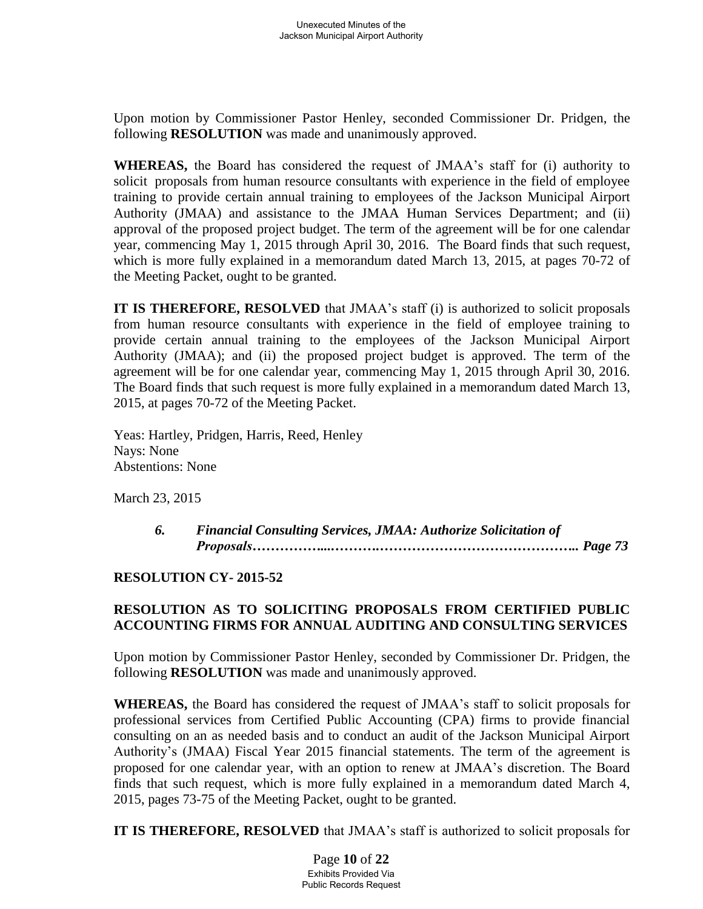Upon motion by Commissioner Pastor Henley, seconded Commissioner Dr. Pridgen, the following **RESOLUTION** was made and unanimously approved.

**WHEREAS,** the Board has considered the request of JMAA's staff for (i) authority to solicit proposals from human resource consultants with experience in the field of employee training to provide certain annual training to employees of the Jackson Municipal Airport Authority (JMAA) and assistance to the JMAA Human Services Department; and (ii) approval of the proposed project budget. The term of the agreement will be for one calendar year, commencing May 1, 2015 through April 30, 2016. The Board finds that such request, which is more fully explained in a memorandum dated March 13, 2015, at pages 70-72 of the Meeting Packet, ought to be granted.

**IT IS THEREFORE, RESOLVED** that JMAA's staff (i) is authorized to solicit proposals from human resource consultants with experience in the field of employee training to provide certain annual training to the employees of the Jackson Municipal Airport Authority (JMAA); and (ii) the proposed project budget is approved. The term of the agreement will be for one calendar year, commencing May 1, 2015 through April 30, 2016. The Board finds that such request is more fully explained in a memorandum dated March 13, 2015, at pages 70-72 of the Meeting Packet.

Yeas: Hartley, Pridgen, Harris, Reed, Henley Nays: None Abstentions: None

March 23, 2015

*6. Financial Consulting Services, JMAA: Authorize Solicitation of Proposals……………....……….…………………………………….. Page 73* 

## **RESOLUTION CY- 2015-52**

## **RESOLUTION AS TO SOLICITING PROPOSALS FROM CERTIFIED PUBLIC ACCOUNTING FIRMS FOR ANNUAL AUDITING AND CONSULTING SERVICES**

Upon motion by Commissioner Pastor Henley, seconded by Commissioner Dr. Pridgen, the following **RESOLUTION** was made and unanimously approved.

**WHEREAS,** the Board has considered the request of JMAA's staff to solicit proposals for professional services from Certified Public Accounting (CPA) firms to provide financial consulting on an as needed basis and to conduct an audit of the Jackson Municipal Airport Authority's (JMAA) Fiscal Year 2015 financial statements. The term of the agreement is proposed for one calendar year, with an option to renew at JMAA's discretion. The Board finds that such request, which is more fully explained in a memorandum dated March 4, 2015, pages 73-75 of the Meeting Packet, ought to be granted.

**IT IS THEREFORE, RESOLVED** that JMAA's staff is authorized to solicit proposals for

Page **10** of **22** Exhibits Provided Via Public Records Request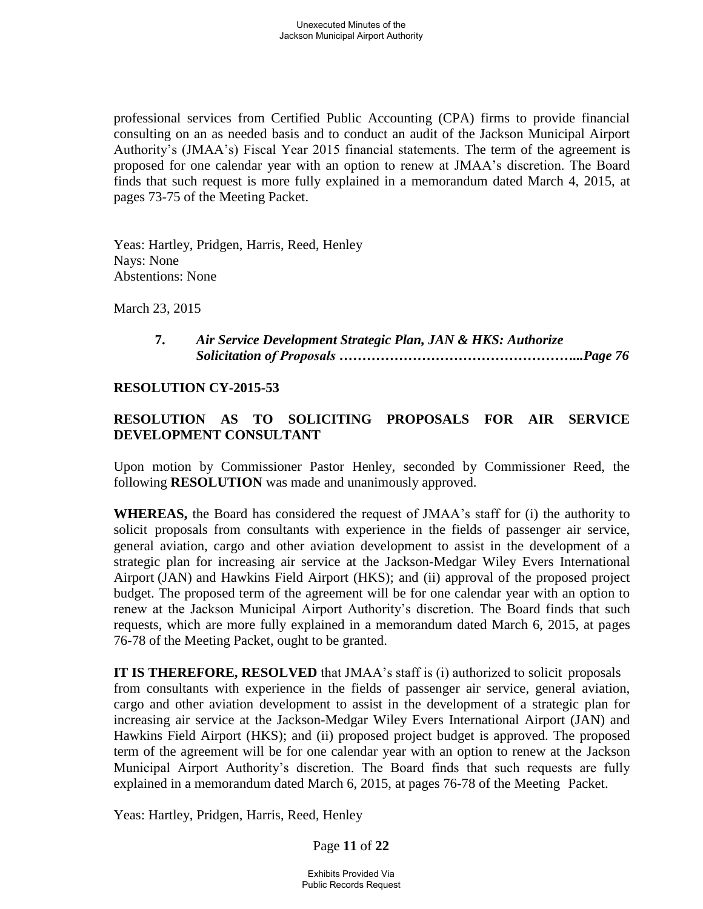professional services from Certified Public Accounting (CPA) firms to provide financial consulting on an as needed basis and to conduct an audit of the Jackson Municipal Airport Authority's (JMAA's) Fiscal Year 2015 financial statements. The term of the agreement is proposed for one calendar year with an option to renew at JMAA's discretion. The Board finds that such request is more fully explained in a memorandum dated March 4, 2015, at pages 73-75 of the Meeting Packet.

Yeas: Hartley, Pridgen, Harris, Reed, Henley Nays: None Abstentions: None

March 23, 2015

**7.** *Air Service Development Strategic Plan, JAN & HKS: Authorize Solicitation of Proposals ……………………………………………...Page 76*

#### **RESOLUTION CY-2015-53**

## **RESOLUTION AS TO SOLICITING PROPOSALS FOR AIR SERVICE DEVELOPMENT CONSULTANT**

Upon motion by Commissioner Pastor Henley, seconded by Commissioner Reed, the following **RESOLUTION** was made and unanimously approved.

**WHEREAS,** the Board has considered the request of JMAA's staff for (i) the authority to solicit proposals from consultants with experience in the fields of passenger air service, general aviation, cargo and other aviation development to assist in the development of a strategic plan for increasing air service at the Jackson-Medgar Wiley Evers International Airport (JAN) and Hawkins Field Airport (HKS); and (ii) approval of the proposed project budget. The proposed term of the agreement will be for one calendar year with an option to renew at the Jackson Municipal Airport Authority's discretion. The Board finds that such requests, which are more fully explained in a memorandum dated March 6, 2015, at pages 76-78 of the Meeting Packet, ought to be granted.

**IT IS THEREFORE, RESOLVED** that JMAA's staff is (i) authorized to solicit proposals from consultants with experience in the fields of passenger air service, general aviation, cargo and other aviation development to assist in the development of a strategic plan for increasing air service at the Jackson-Medgar Wiley Evers International Airport (JAN) and Hawkins Field Airport (HKS); and (ii) proposed project budget is approved. The proposed term of the agreement will be for one calendar year with an option to renew at the Jackson Municipal Airport Authority's discretion. The Board finds that such requests are fully explained in a memorandum dated March 6, 2015, at pages 76-78 of the Meeting Packet.

Yeas: Hartley, Pridgen, Harris, Reed, Henley

Page **11** of **22**

Exhibits Provided Via Public Records Request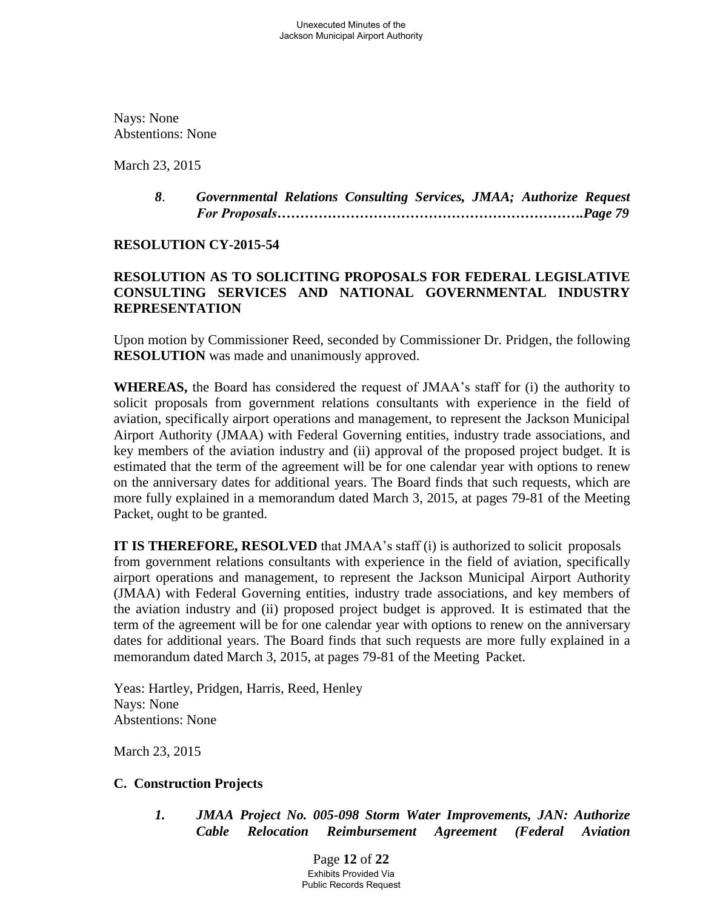Nays: None Abstentions: None

March 23, 2015

*8*. *Governmental Relations Consulting Services, JMAA; Authorize Request For Proposals………………………………………………………….Page 79*

### **RESOLUTION CY-2015-54**

## **RESOLUTION AS TO SOLICITING PROPOSALS FOR FEDERAL LEGISLATIVE CONSULTING SERVICES AND NATIONAL GOVERNMENTAL INDUSTRY REPRESENTATION**

Upon motion by Commissioner Reed, seconded by Commissioner Dr. Pridgen, the following **RESOLUTION** was made and unanimously approved.

**WHEREAS,** the Board has considered the request of JMAA's staff for (i) the authority to solicit proposals from government relations consultants with experience in the field of aviation, specifically airport operations and management, to represent the Jackson Municipal Airport Authority (JMAA) with Federal Governing entities, industry trade associations, and key members of the aviation industry and (ii) approval of the proposed project budget. It is estimated that the term of the agreement will be for one calendar year with options to renew on the anniversary dates for additional years. The Board finds that such requests, which are more fully explained in a memorandum dated March 3, 2015, at pages 79-81 of the Meeting Packet, ought to be granted.

**IT IS THEREFORE, RESOLVED** that JMAA's staff (i) is authorized to solicit proposals from government relations consultants with experience in the field of aviation, specifically airport operations and management, to represent the Jackson Municipal Airport Authority (JMAA) with Federal Governing entities, industry trade associations, and key members of the aviation industry and (ii) proposed project budget is approved. It is estimated that the term of the agreement will be for one calendar year with options to renew on the anniversary dates for additional years. The Board finds that such requests are more fully explained in a memorandum dated March 3, 2015, at pages 79-81 of the Meeting Packet.

Yeas: Hartley, Pridgen, Harris, Reed, Henley Nays: None Abstentions: None

March 23, 2015

#### **C. Construction Projects**

*1. JMAA Project No. 005-098 Storm Water Improvements, JAN: Authorize Cable Relocation Reimbursement Agreement (Federal Aviation* 

> Page **12** of **22** Exhibits Provided Via Public Records Request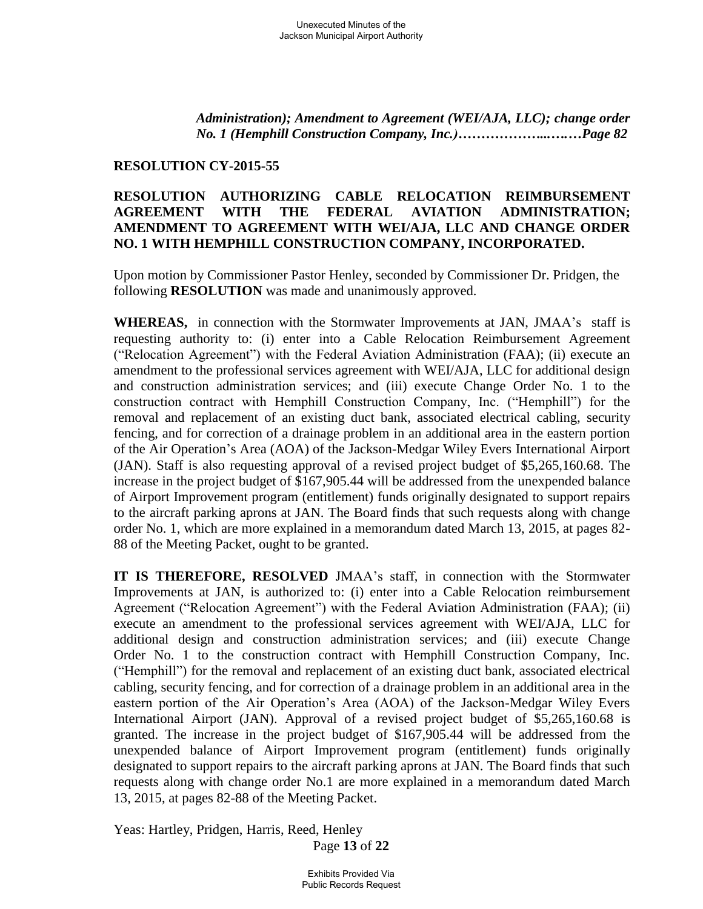*Administration); Amendment to Agreement (WEI/AJA, LLC); change order No. 1 (Hemphill Construction Company, Inc.)………………...….…Page 82*

### **RESOLUTION CY-2015-55**

## **RESOLUTION AUTHORIZING CABLE RELOCATION REIMBURSEMENT AGREEMENT WITH THE FEDERAL AVIATION ADMINISTRATION; AMENDMENT TO AGREEMENT WITH WEI/AJA, LLC AND CHANGE ORDER NO. 1 WITH HEMPHILL CONSTRUCTION COMPANY, INCORPORATED.**

Upon motion by Commissioner Pastor Henley, seconded by Commissioner Dr. Pridgen, the following **RESOLUTION** was made and unanimously approved.

 **WHEREAS,** in connection with the Stormwater Improvements at JAN, JMAA's staff is requesting authority to: (i) enter into a Cable Relocation Reimbursement Agreement ("Relocation Agreement") with the Federal Aviation Administration (FAA); (ii) execute an amendment to the professional services agreement with WEI/AJA, LLC for additional design and construction administration services; and (iii) execute Change Order No. 1 to the construction contract with Hemphill Construction Company, Inc. ("Hemphill") for the removal and replacement of an existing duct bank, associated electrical cabling, security fencing, and for correction of a drainage problem in an additional area in the eastern portion of the Air Operation's Area (AOA) of the Jackson-Medgar Wiley Evers International Airport (JAN). Staff is also requesting approval of a revised project budget of \$5,265,160.68. The increase in the project budget of \$167,905.44 will be addressed from the unexpended balance of Airport Improvement program (entitlement) funds originally designated to support repairs to the aircraft parking aprons at JAN. The Board finds that such requests along with change order No. 1, which are more explained in a memorandum dated March 13, 2015, at pages 82- 88 of the Meeting Packet, ought to be granted.

**IT IS THEREFORE, RESOLVED** JMAA's staff, in connection with the Stormwater Improvements at JAN, is authorized to: (i) enter into a Cable Relocation reimbursement Agreement ("Relocation Agreement") with the Federal Aviation Administration (FAA); (ii) execute an amendment to the professional services agreement with WEI/AJA, LLC for additional design and construction administration services; and (iii) execute Change Order No. 1 to the construction contract with Hemphill Construction Company, Inc. ("Hemphill") for the removal and replacement of an existing duct bank, associated electrical cabling, security fencing, and for correction of a drainage problem in an additional area in the eastern portion of the Air Operation's Area (AOA) of the Jackson-Medgar Wiley Evers International Airport (JAN). Approval of a revised project budget of \$5,265,160.68 is granted. The increase in the project budget of \$167,905.44 will be addressed from the unexpended balance of Airport Improvement program (entitlement) funds originally designated to support repairs to the aircraft parking aprons at JAN. The Board finds that such requests along with change order No.1 are more explained in a memorandum dated March 13, 2015, at pages 82-88 of the Meeting Packet.

Page **13** of **22** Yeas: Hartley, Pridgen, Harris, Reed, Henley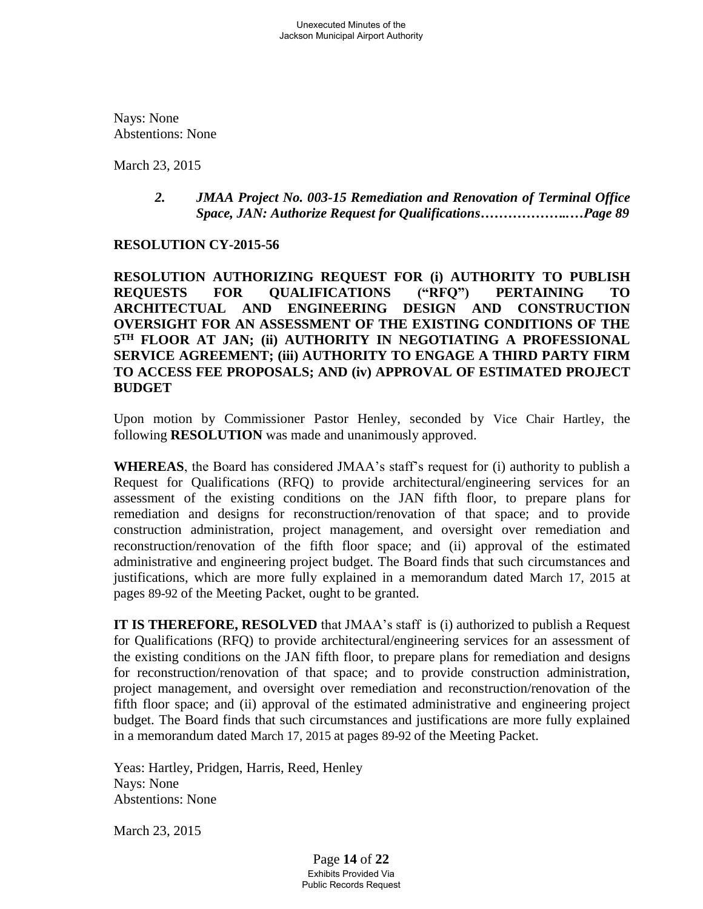Nays: None Abstentions: None

March 23, 2015

### *2. JMAA Project No. 003-15 Remediation and Renovation of Terminal Office Space, JAN: Authorize Request for Qualifications………………..…Page 89*

### **RESOLUTION CY-2015-56**

**RESOLUTION AUTHORIZING REQUEST FOR (i) AUTHORITY TO PUBLISH REQUESTS FOR QUALIFICATIONS ("RFQ") PERTAINING TO ARCHITECTUAL AND ENGINEERING DESIGN AND CONSTRUCTION OVERSIGHT FOR AN ASSESSMENT OF THE EXISTING CONDITIONS OF THE 5 TH FLOOR AT JAN; (ii) AUTHORITY IN NEGOTIATING A PROFESSIONAL SERVICE AGREEMENT; (iii) AUTHORITY TO ENGAGE A THIRD PARTY FIRM TO ACCESS FEE PROPOSALS; AND (iv) APPROVAL OF ESTIMATED PROJECT BUDGET** 

Upon motion by Commissioner Pastor Henley, seconded by Vice Chair Hartley, the following **RESOLUTION** was made and unanimously approved.

 **WHEREAS**, the Board has considered JMAA's staff's request for (i) authority to publish a Request for Qualifications (RFQ) to provide architectural/engineering services for an assessment of the existing conditions on the JAN fifth floor, to prepare plans for remediation and designs for reconstruction/renovation of that space; and to provide construction administration, project management, and oversight over remediation and reconstruction/renovation of the fifth floor space; and (ii) approval of the estimated administrative and engineering project budget. The Board finds that such circumstances and justifications, which are more fully explained in a memorandum dated March 17, 2015 at pages 89-92 of the Meeting Packet, ought to be granted.

 **IT IS THEREFORE, RESOLVED** that JMAA's staff is (i) authorized to publish a Request for Qualifications (RFQ) to provide architectural/engineering services for an assessment of the existing conditions on the JAN fifth floor, to prepare plans for remediation and designs for reconstruction/renovation of that space; and to provide construction administration, project management, and oversight over remediation and reconstruction/renovation of the fifth floor space; and (ii) approval of the estimated administrative and engineering project budget. The Board finds that such circumstances and justifications are more fully explained in a memorandum dated March 17, 2015 at pages 89-92 of the Meeting Packet.

Yeas: Hartley, Pridgen, Harris, Reed, Henley Nays: None Abstentions: None

March 23, 2015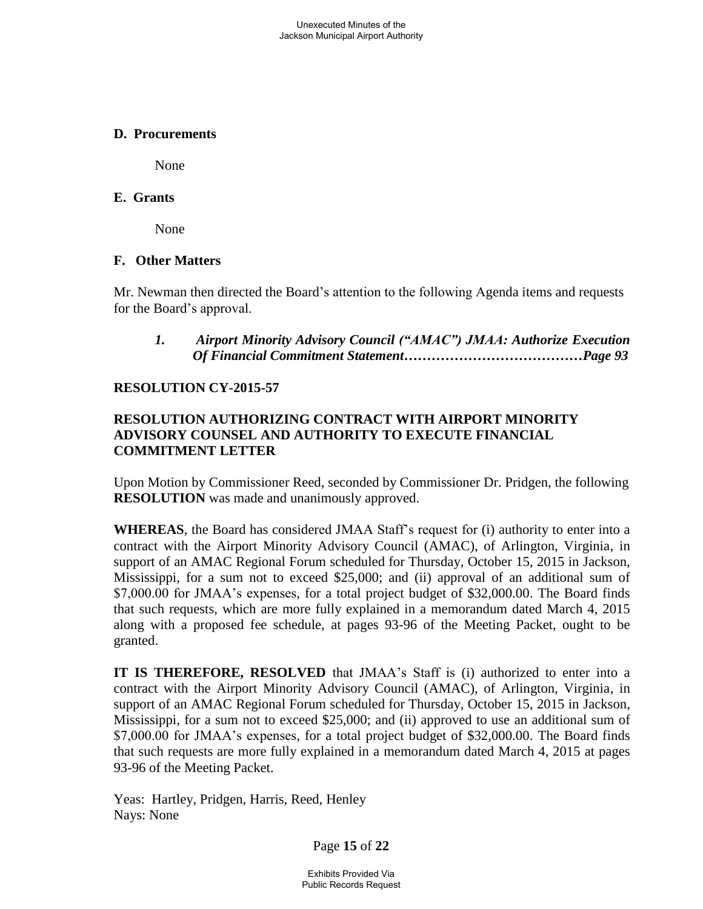#### **D. Procurements**

None

### **E. Grants**

None

### **F. Other Matters**

Mr. Newman then directed the Board's attention to the following Agenda items and requests for the Board's approval.

### *1. Airport Minority Advisory Council ("AMAC") JMAA: Authorize Execution Of Financial Commitment Statement…………………………………Page 93*

### **RESOLUTION CY-2015-57**

## **RESOLUTION AUTHORIZING CONTRACT WITH AIRPORT MINORITY ADVISORY COUNSEL AND AUTHORITY TO EXECUTE FINANCIAL COMMITMENT LETTER**

 Upon Motion by Commissioner Reed, seconded by Commissioner Dr. Pridgen, the following  **RESOLUTION** was made and unanimously approved.

**WHEREAS**, the Board has considered JMAA Staff's request for (i) authority to enter into a contract with the Airport Minority Advisory Council (AMAC), of Arlington, Virginia, in support of an AMAC Regional Forum scheduled for Thursday, October 15, 2015 in Jackson, Mississippi, for a sum not to exceed \$25,000; and (ii) approval of an additional sum of \$7,000.00 for JMAA's expenses, for a total project budget of \$32,000.00. The Board finds that such requests, which are more fully explained in a memorandum dated March 4, 2015 along with a proposed fee schedule, at pages 93-96 of the Meeting Packet, ought to be granted.

**IT IS THEREFORE, RESOLVED** that JMAA's Staff is (i) authorized to enter into a contract with the Airport Minority Advisory Council (AMAC), of Arlington, Virginia, in support of an AMAC Regional Forum scheduled for Thursday, October 15, 2015 in Jackson, Mississippi, for a sum not to exceed \$25,000; and (ii) approved to use an additional sum of \$7,000.00 for JMAA's expenses, for a total project budget of \$32,000.00. The Board finds that such requests are more fully explained in a memorandum dated March 4, 2015 at pages 93-96 of the Meeting Packet.

Yeas: Hartley, Pridgen, Harris, Reed, Henley Nays: None

Page **15** of **22**

Exhibits Provided Via Public Records Request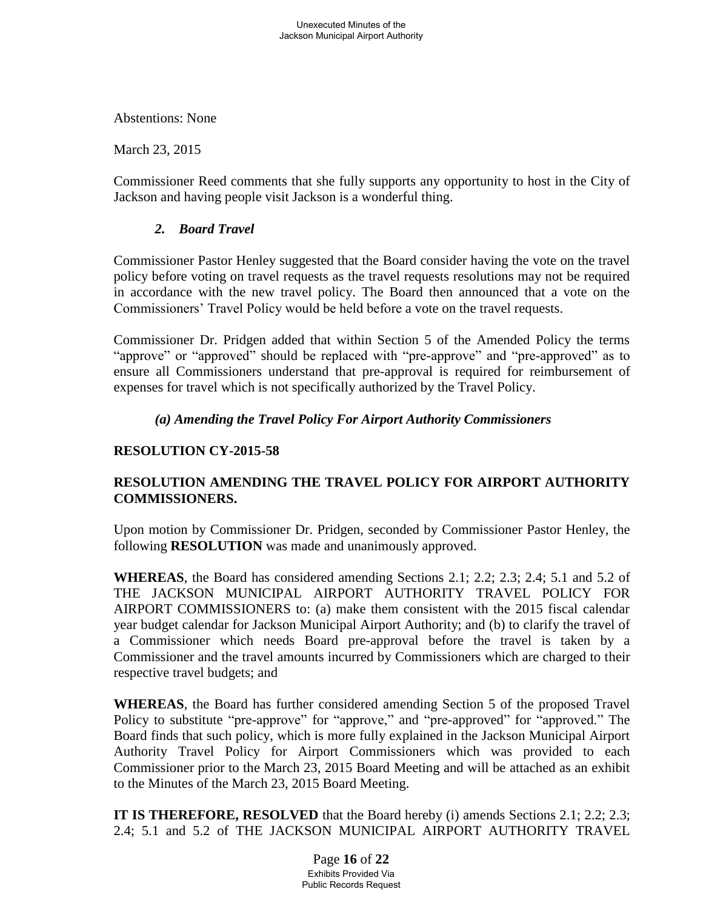Abstentions: None

March 23, 2015

Commissioner Reed comments that she fully supports any opportunity to host in the City of Jackson and having people visit Jackson is a wonderful thing.

## *2. Board Travel*

Commissioner Pastor Henley suggested that the Board consider having the vote on the travel policy before voting on travel requests as the travel requests resolutions may not be required in accordance with the new travel policy. The Board then announced that a vote on the Commissioners' Travel Policy would be held before a vote on the travel requests.

Commissioner Dr. Pridgen added that within Section 5 of the Amended Policy the terms "approve" or "approved" should be replaced with "pre-approve" and "pre-approved" as to ensure all Commissioners understand that pre-approval is required for reimbursement of expenses for travel which is not specifically authorized by the Travel Policy.

## *(a) Amending the Travel Policy For Airport Authority Commissioners*

## **RESOLUTION CY-2015-58**

## **RESOLUTION AMENDING THE TRAVEL POLICY FOR AIRPORT AUTHORITY COMMISSIONERS.**

Upon motion by Commissioner Dr. Pridgen, seconded by Commissioner Pastor Henley, the following **RESOLUTION** was made and unanimously approved.

**WHEREAS**, the Board has considered amending Sections 2.1; 2.2; 2.3; 2.4; 5.1 and 5.2 of THE JACKSON MUNICIPAL AIRPORT AUTHORITY TRAVEL POLICY FOR AIRPORT COMMISSIONERS to: (a) make them consistent with the 2015 fiscal calendar year budget calendar for Jackson Municipal Airport Authority; and (b) to clarify the travel of a Commissioner which needs Board pre-approval before the travel is taken by a Commissioner and the travel amounts incurred by Commissioners which are charged to their respective travel budgets; and

**WHEREAS**, the Board has further considered amending Section 5 of the proposed Travel Policy to substitute "pre-approve" for "approve," and "pre-approved" for "approved." The Board finds that such policy, which is more fully explained in the Jackson Municipal Airport Authority Travel Policy for Airport Commissioners which was provided to each Commissioner prior to the March 23, 2015 Board Meeting and will be attached as an exhibit to the Minutes of the March 23, 2015 Board Meeting.

**IT IS THEREFORE, RESOLVED** that the Board hereby (i) amends Sections 2.1; 2.2; 2.3; 2.4; 5.1 and 5.2 of THE JACKSON MUNICIPAL AIRPORT AUTHORITY TRAVEL

> Page **16** of **22** Exhibits Provided Via Public Records Request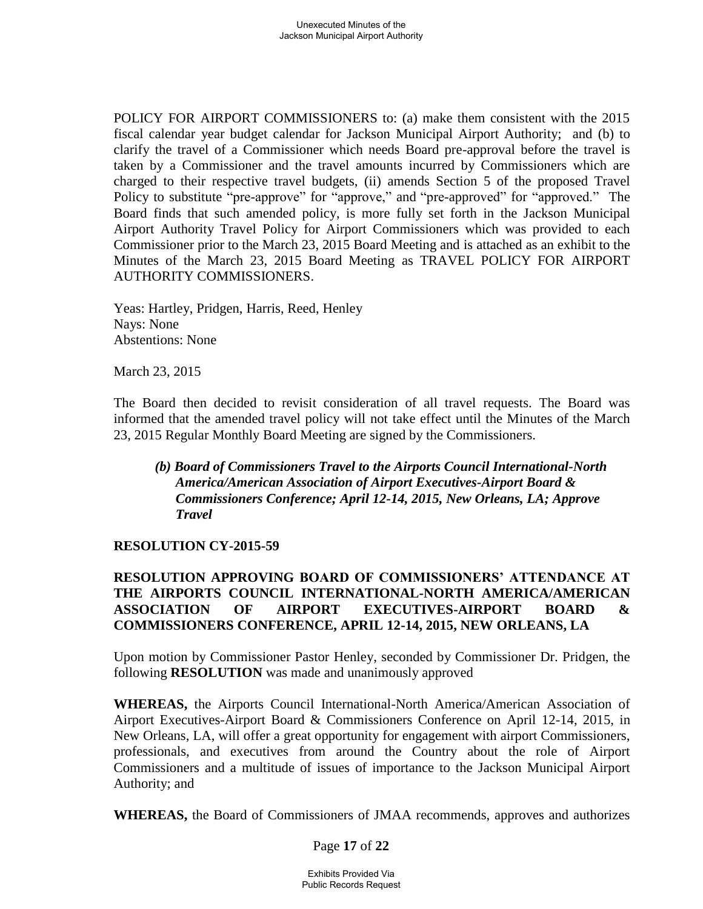POLICY FOR AIRPORT COMMISSIONERS to: (a) make them consistent with the 2015 fiscal calendar year budget calendar for Jackson Municipal Airport Authority; and (b) to clarify the travel of a Commissioner which needs Board pre-approval before the travel is taken by a Commissioner and the travel amounts incurred by Commissioners which are charged to their respective travel budgets, (ii) amends Section 5 of the proposed Travel Policy to substitute "pre-approve" for "approve," and "pre-approved" for "approved." The Board finds that such amended policy, is more fully set forth in the Jackson Municipal Airport Authority Travel Policy for Airport Commissioners which was provided to each Commissioner prior to the March 23, 2015 Board Meeting and is attached as an exhibit to the Minutes of the March 23, 2015 Board Meeting as TRAVEL POLICY FOR AIRPORT AUTHORITY COMMISSIONERS.

Yeas: Hartley, Pridgen, Harris, Reed, Henley Nays: None Abstentions: None

March 23, 2015

The Board then decided to revisit consideration of all travel requests. The Board was informed that the amended travel policy will not take effect until the Minutes of the March 23, 2015 Regular Monthly Board Meeting are signed by the Commissioners.

*(b) Board of Commissioners Travel to the Airports Council International-North America/American Association of Airport Executives-Airport Board & Commissioners Conference; April 12-14, 2015, New Orleans, LA; Approve Travel* 

#### **RESOLUTION CY-2015-59**

## **RESOLUTION APPROVING BOARD OF COMMISSIONERS' ATTENDANCE AT THE AIRPORTS COUNCIL INTERNATIONAL-NORTH AMERICA/AMERICAN ASSOCIATION OF AIRPORT EXECUTIVES-AIRPORT BOARD & COMMISSIONERS CONFERENCE, APRIL 12-14, 2015, NEW ORLEANS, LA**

Upon motion by Commissioner Pastor Henley, seconded by Commissioner Dr. Pridgen, the following **RESOLUTION** was made and unanimously approved

**WHEREAS,** the Airports Council International-North America/American Association of Airport Executives-Airport Board & Commissioners Conference on April 12-14, 2015, in New Orleans, LA, will offer a great opportunity for engagement with airport Commissioners, professionals, and executives from around the Country about the role of Airport Commissioners and a multitude of issues of importance to the Jackson Municipal Airport Authority; and

**WHEREAS,** the Board of Commissioners of JMAA recommends, approves and authorizes

Page **17** of **22**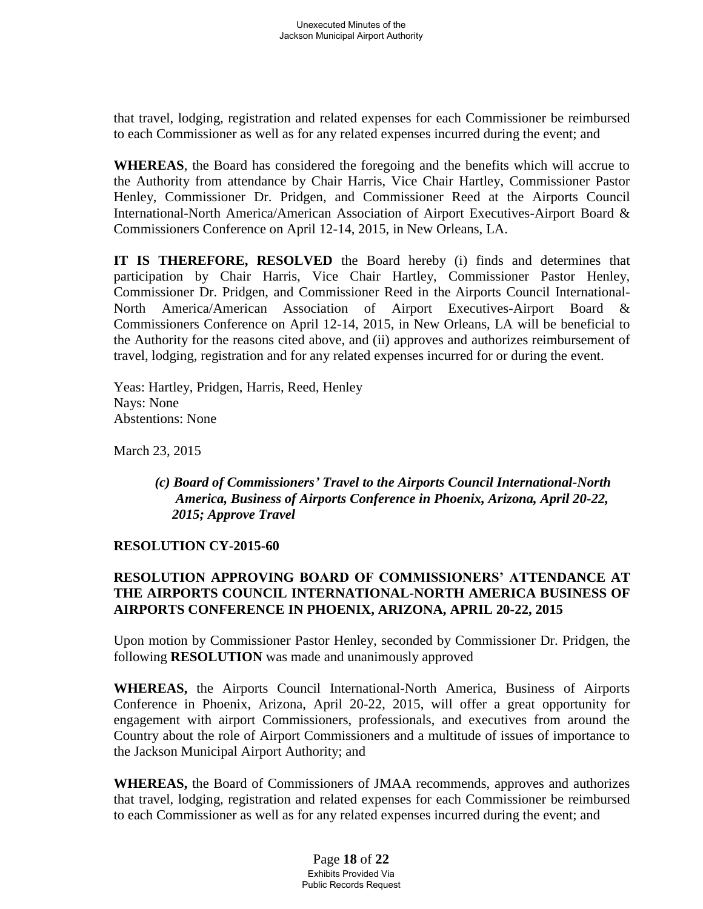that travel, lodging, registration and related expenses for each Commissioner be reimbursed to each Commissioner as well as for any related expenses incurred during the event; and

**WHEREAS**, the Board has considered the foregoing and the benefits which will accrue to the Authority from attendance by Chair Harris, Vice Chair Hartley, Commissioner Pastor Henley, Commissioner Dr. Pridgen, and Commissioner Reed at the Airports Council International-North America/American Association of Airport Executives-Airport Board & Commissioners Conference on April 12-14, 2015, in New Orleans, LA.

**IT IS THEREFORE, RESOLVED** the Board hereby (i) finds and determines that participation by Chair Harris, Vice Chair Hartley, Commissioner Pastor Henley, Commissioner Dr. Pridgen, and Commissioner Reed in the Airports Council International-North America/American Association of Airport Executives-Airport Board & Commissioners Conference on April 12-14, 2015, in New Orleans, LA will be beneficial to the Authority for the reasons cited above, and (ii) approves and authorizes reimbursement of travel, lodging, registration and for any related expenses incurred for or during the event.

Yeas: Hartley, Pridgen, Harris, Reed, Henley Nays: None Abstentions: None

March 23, 2015

## *(c) Board of Commissioners' Travel to the Airports Council International-North America, Business of Airports Conference in Phoenix, Arizona, April 20-22, 2015; Approve Travel*

#### **RESOLUTION CY-2015-60**

## **RESOLUTION APPROVING BOARD OF COMMISSIONERS' ATTENDANCE AT THE AIRPORTS COUNCIL INTERNATIONAL-NORTH AMERICA BUSINESS OF AIRPORTS CONFERENCE IN PHOENIX, ARIZONA, APRIL 20-22, 2015**

Upon motion by Commissioner Pastor Henley, seconded by Commissioner Dr. Pridgen, the following **RESOLUTION** was made and unanimously approved

**WHEREAS,** the Airports Council International-North America, Business of Airports Conference in Phoenix, Arizona, April 20-22, 2015, will offer a great opportunity for engagement with airport Commissioners, professionals, and executives from around the Country about the role of Airport Commissioners and a multitude of issues of importance to the Jackson Municipal Airport Authority; and

**WHEREAS,** the Board of Commissioners of JMAA recommends, approves and authorizes that travel, lodging, registration and related expenses for each Commissioner be reimbursed to each Commissioner as well as for any related expenses incurred during the event; and

> Page **18** of **22** Exhibits Provided Via Public Records Request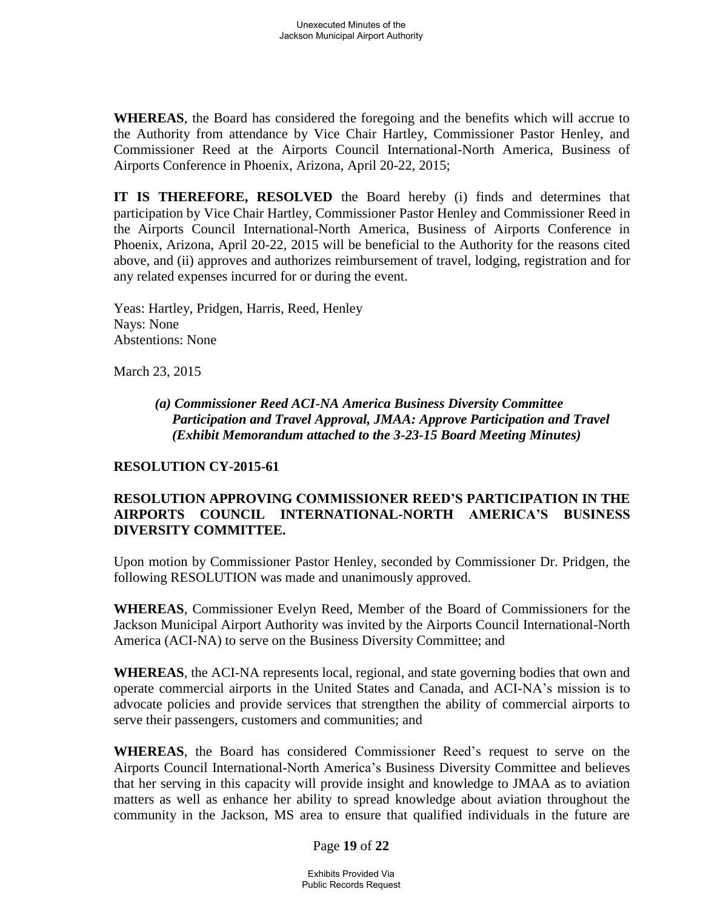**WHEREAS**, the Board has considered the foregoing and the benefits which will accrue to the Authority from attendance by Vice Chair Hartley, Commissioner Pastor Henley, and Commissioner Reed at the Airports Council International-North America, Business of Airports Conference in Phoenix, Arizona, April 20-22, 2015;

**IT IS THEREFORE, RESOLVED** the Board hereby (i) finds and determines that participation by Vice Chair Hartley, Commissioner Pastor Henley and Commissioner Reed in the Airports Council International-North America, Business of Airports Conference in Phoenix, Arizona, April 20-22, 2015 will be beneficial to the Authority for the reasons cited above, and (ii) approves and authorizes reimbursement of travel, lodging, registration and for any related expenses incurred for or during the event.

Yeas: Hartley, Pridgen, Harris, Reed, Henley Nays: None Abstentions: None

March 23, 2015

*(a) Commissioner Reed ACI-NA America Business Diversity Committee Participation and Travel Approval, JMAA: Approve Participation and Travel (Exhibit Memorandum attached to the 3-23-15 Board Meeting Minutes)* 

#### **RESOLUTION CY-2015-61**

### **RESOLUTION APPROVING COMMISSIONER REED'S PARTICIPATION IN THE AIRPORTS COUNCIL INTERNATIONAL-NORTH AMERICA'S BUSINESS DIVERSITY COMMITTEE.**

Upon motion by Commissioner Pastor Henley, seconded by Commissioner Dr. Pridgen, the following RESOLUTION was made and unanimously approved.

**WHEREAS**, Commissioner Evelyn Reed, Member of the Board of Commissioners for the Jackson Municipal Airport Authority was invited by the Airports Council International-North America (ACI-NA) to serve on the Business Diversity Committee; and

**WHEREAS**, the ACI-NA represents local, regional, and state governing bodies that own and operate commercial airports in the United States and Canada, and ACI-NA's mission is to advocate policies and provide services that strengthen the ability of commercial airports to serve their passengers, customers and communities; and

**WHEREAS**, the Board has considered Commissioner Reed's request to serve on the Airports Council International-North America's Business Diversity Committee and believes that her serving in this capacity will provide insight and knowledge to JMAA as to aviation matters as well as enhance her ability to spread knowledge about aviation throughout the community in the Jackson, MS area to ensure that qualified individuals in the future are

#### Page **19** of **22**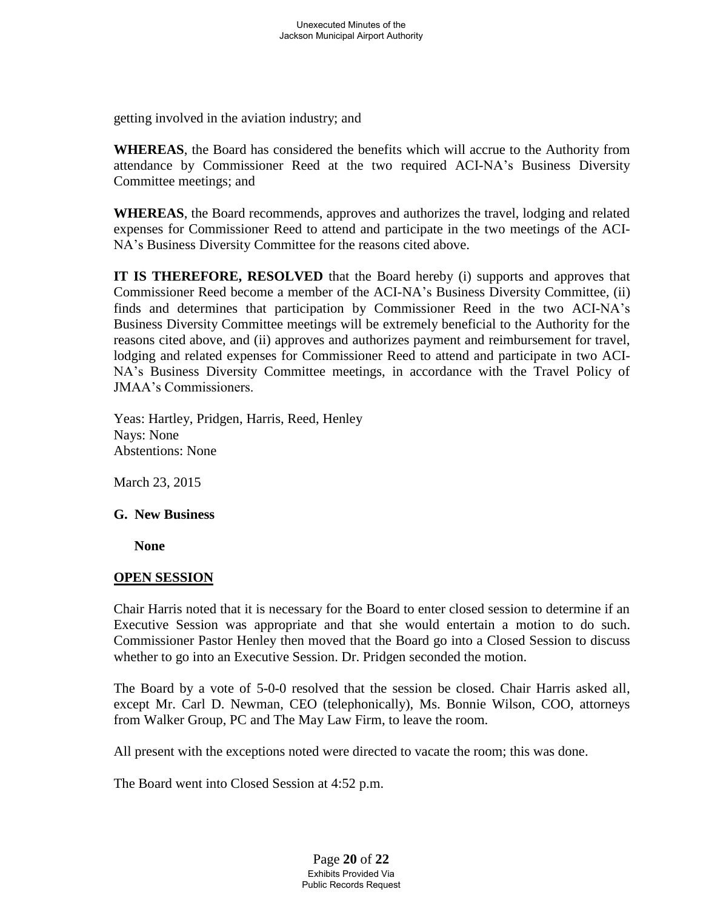getting involved in the aviation industry; and

**WHEREAS**, the Board has considered the benefits which will accrue to the Authority from attendance by Commissioner Reed at the two required ACI-NA's Business Diversity Committee meetings; and

**WHEREAS**, the Board recommends, approves and authorizes the travel, lodging and related expenses for Commissioner Reed to attend and participate in the two meetings of the ACI-NA's Business Diversity Committee for the reasons cited above.

**IT IS THEREFORE, RESOLVED** that the Board hereby (i) supports and approves that Commissioner Reed become a member of the ACI-NA's Business Diversity Committee, (ii) finds and determines that participation by Commissioner Reed in the two ACI-NA's Business Diversity Committee meetings will be extremely beneficial to the Authority for the reasons cited above, and (ii) approves and authorizes payment and reimbursement for travel, lodging and related expenses for Commissioner Reed to attend and participate in two ACI-NA's Business Diversity Committee meetings, in accordance with the Travel Policy of JMAA's Commissioners.

Yeas: Hartley, Pridgen, Harris, Reed, Henley Nays: None Abstentions: None

March 23, 2015

## **G. New Business**

 **None**

## **OPEN SESSION**

 Chair Harris noted that it is necessary for the Board to enter closed session to determine if an Executive Session was appropriate and that she would entertain a motion to do such. Commissioner Pastor Henley then moved that the Board go into a Closed Session to discuss whether to go into an Executive Session. Dr. Pridgen seconded the motion.

 The Board by a vote of 5-0-0 resolved that the session be closed. Chair Harris asked all, except Mr. Carl D. Newman, CEO (telephonically), Ms. Bonnie Wilson, COO, attorneys from Walker Group, PC and The May Law Firm, to leave the room.

All present with the exceptions noted were directed to vacate the room; this was done.

The Board went into Closed Session at 4:52 p.m.

Page **20** of **22** Exhibits Provided Via Public Records Request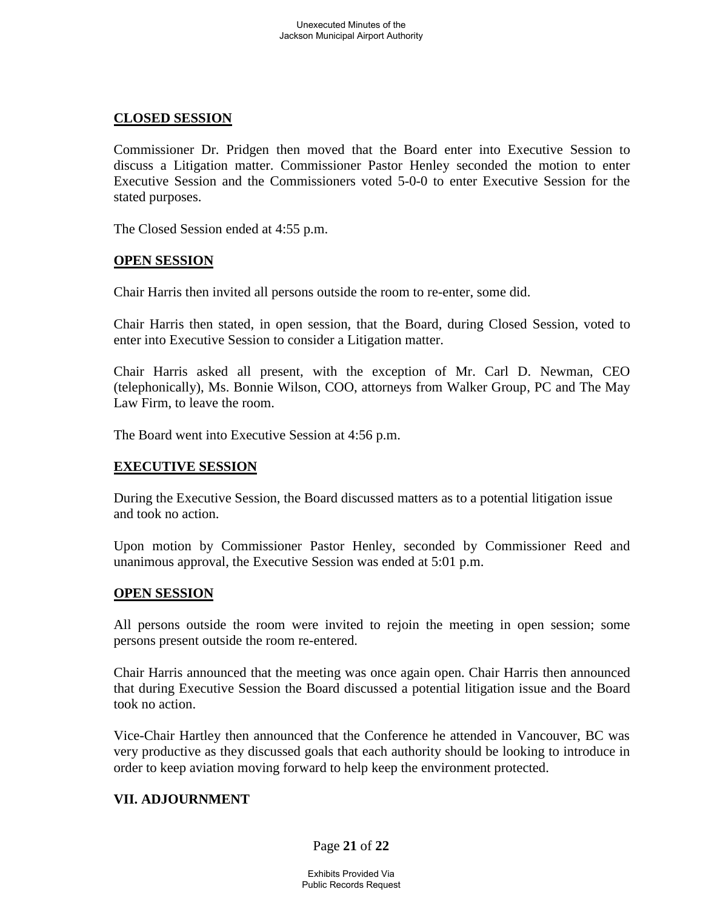### **CLOSED SESSION**

 Commissioner Dr. Pridgen then moved that the Board enter into Executive Session to discuss a Litigation matter. Commissioner Pastor Henley seconded the motion to enter Executive Session and the Commissioners voted 5-0-0 to enter Executive Session for the stated purposes.

The Closed Session ended at 4:55 p.m.

### **OPEN SESSION**

Chair Harris then invited all persons outside the room to re-enter, some did.

Chair Harris then stated, in open session, that the Board, during Closed Session, voted to enter into Executive Session to consider a Litigation matter.

 Chair Harris asked all present, with the exception of Mr. Carl D. Newman, CEO (telephonically), Ms. Bonnie Wilson, COO, attorneys from Walker Group, PC and The May Law Firm, to leave the room.

The Board went into Executive Session at 4:56 p.m.

## **EXECUTIVE SESSION**

 During the Executive Session, the Board discussed matters as to a potential litigation issue and took no action.

 Upon motion by Commissioner Pastor Henley, seconded by Commissioner Reed and unanimous approval, the Executive Session was ended at 5:01 p.m.

#### **OPEN SESSION**

 All persons outside the room were invited to rejoin the meeting in open session; some persons present outside the room re-entered.

 Chair Harris announced that the meeting was once again open. Chair Harris then announced that during Executive Session the Board discussed a potential litigation issue and the Board took no action.

Vice-Chair Hartley then announced that the Conference he attended in Vancouver, BC was very productive as they discussed goals that each authority should be looking to introduce in order to keep aviation moving forward to help keep the environment protected.

#### **VII. ADJOURNMENT**

Page **21** of **22**